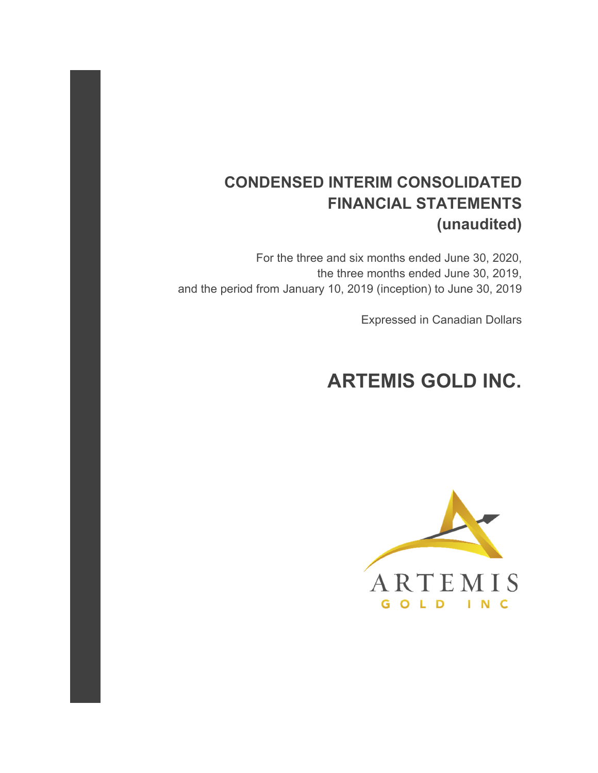# **CONDENSED INTERIM CONSOLIDATED FINANCIAL STATEMENTS (unaudited)**

For the three and six months ended June 30, 2020, the three months ended June 30, 2019, and the period from January 10, 2019 (inception) to June 30, 2019

Expressed in Canadian Dollars

# **ARTEMIS GOLD INC.**

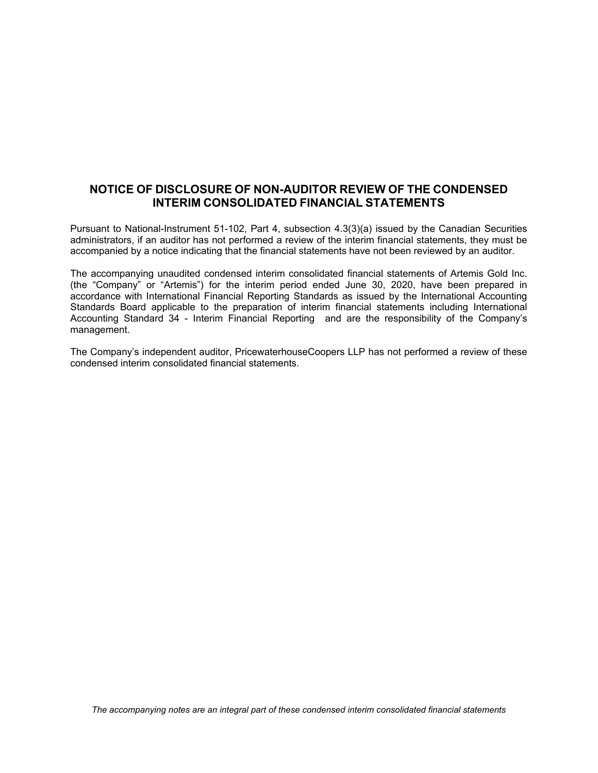# **NOTICE OF DISCLOSURE OF NON-AUDITOR REVIEW OF THE CONDENSED INTERIM CONSOLIDATED FINANCIAL STATEMENTS**

Pursuant to National-Instrument 51-102, Part 4, subsection 4.3(3)(a) issued by the Canadian Securities administrators, if an auditor has not performed a review of the interim financial statements, they must be accompanied by a notice indicating that the financial statements have not been reviewed by an auditor.

The accompanying unaudited condensed interim consolidated financial statements of Artemis Gold Inc. (the "Company" or "Artemis") for the interim period ended June 30, 2020, have been prepared in accordance with International Financial Reporting Standards as issued by the International Accounting Standards Board applicable to the preparation of interim financial statements including International Accounting Standard 34 - Interim Financial Reporting and are the responsibility of the Company's management.

The Company's independent auditor, PricewaterhouseCoopers LLP has not performed a review of these condensed interim consolidated financial statements.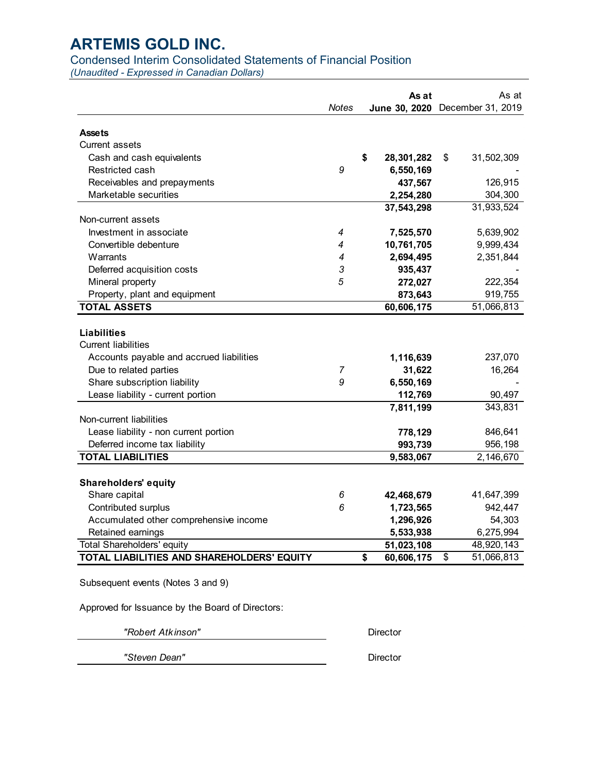# Condensed Interim Consolidated Statements of Financial Position

*(Unaudited - Expressed in Canadian Dollars)* 

|                                            |              | As at            | As at                           |
|--------------------------------------------|--------------|------------------|---------------------------------|
|                                            | <b>Notes</b> |                  | June 30, 2020 December 31, 2019 |
| <b>Assets</b>                              |              |                  |                                 |
| <b>Current assets</b>                      |              |                  |                                 |
| Cash and cash equivalents                  |              | \$<br>28,301,282 | \$<br>31,502,309                |
| Restricted cash                            | 9            | 6,550,169        |                                 |
| Receivables and prepayments                |              | 437,567          | 126,915                         |
| Marketable securities                      |              | 2,254,280        | 304,300                         |
|                                            |              | 37,543,298       | 31,933,524                      |
| Non-current assets                         |              |                  |                                 |
| Investment in associate                    | 4            | 7,525,570        | 5,639,902                       |
| Convertible debenture                      | 4            | 10,761,705       | 9,999,434                       |
| Warrants                                   | 4            | 2,694,495        | 2,351,844                       |
| Deferred acquisition costs                 | 3            | 935,437          |                                 |
| Mineral property                           | 5            | 272,027          | 222,354                         |
| Property, plant and equipment              |              | 873,643          | 919,755                         |
| <b>TOTAL ASSETS</b>                        |              | 60,606,175       | 51,066,813                      |
| <b>Liabilities</b>                         |              |                  |                                 |
| <b>Current liabilities</b>                 |              |                  |                                 |
| Accounts payable and accrued liabilities   |              | 1,116,639        | 237,070                         |
| Due to related parties                     | 7            | 31,622           | 16,264                          |
| Share subscription liability               | 9            | 6,550,169        |                                 |
| Lease liability - current portion          |              | 112,769          | 90,497                          |
|                                            |              | 7,811,199        | 343,831                         |
| Non-current liabilities                    |              |                  |                                 |
| Lease liability - non current portion      |              | 778,129          | 846,641                         |
| Deferred income tax liability              |              | 993,739          | 956,198                         |
| <b>TOTAL LIABILITIES</b>                   |              | 9,583,067        | 2,146,670                       |
|                                            |              |                  |                                 |
| <b>Shareholders' equity</b>                |              |                  |                                 |
| Share capital                              | 6            | 42,468,679       | 41,647,399                      |
| Contributed surplus                        | 6            | 1,723,565        | 942,447                         |
| Accumulated other comprehensive income     |              | 1,296,926        | 54,303                          |
| Retained earnings                          |              | 5,533,938        | 6,275,994                       |
| <b>Total Shareholders' equity</b>          |              | 51,023,108       | 48,920,143                      |
| TOTAL LIABILITIES AND SHAREHOLDERS' EQUITY |              | \$<br>60,606,175 | \$<br>51,066,813                |
| Subsequent events (Notes 3 and 9)          |              |                  |                                 |

Approved for Issuance by the Board of Directors:

*"Robert Atkinson"* Director

*"Steven Dean"* Director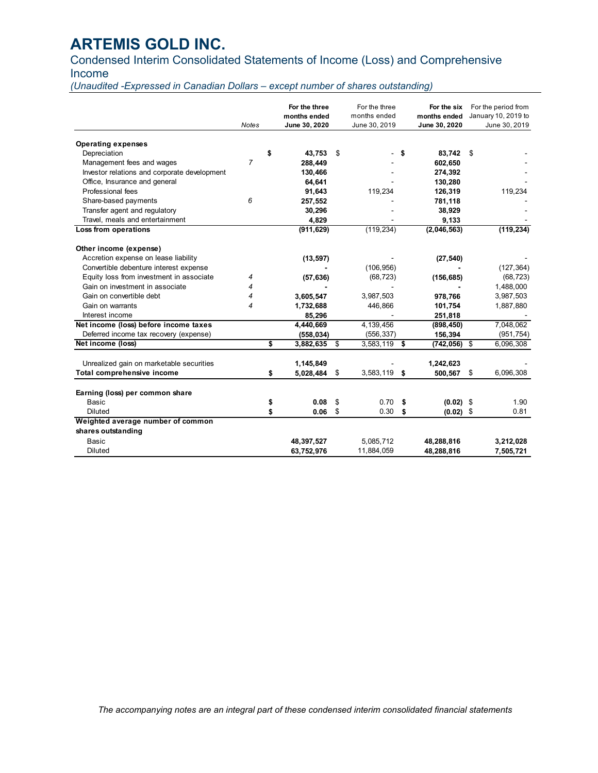# Condensed Interim Consolidated Statements of Income (Loss) and Comprehensive Income

*(Unaudited -Expressed in Canadian Dollars – except number of shares outstanding)* 

|                                              | <b>Notes</b>   | For the three<br>months ended<br>June 30, 2020 | For the three<br>months ended<br>June 30, 2019 | For the six<br>months ended<br>June 30, 2020 | For the period from<br>January 10, 2019 to<br>June 30, 2019 |
|----------------------------------------------|----------------|------------------------------------------------|------------------------------------------------|----------------------------------------------|-------------------------------------------------------------|
| <b>Operating expenses</b>                    |                |                                                |                                                |                                              |                                                             |
| Depreciation                                 |                | \$<br>43,753                                   | \$                                             | \$<br>83,742                                 | \$                                                          |
| Management fees and wages                    | $\overline{7}$ | 288,449                                        |                                                | 602,650                                      |                                                             |
| Investor relations and corporate development |                | 130,466                                        |                                                | 274,392                                      |                                                             |
| Office, Insurance and general                |                | 64,641                                         |                                                | 130,280                                      |                                                             |
| Professional fees                            |                | 91,643                                         | 119,234                                        | 126,319                                      | 119,234                                                     |
| Share-based payments                         | 6              | 257,552                                        |                                                | 781,118                                      |                                                             |
| Transfer agent and regulatory                |                | 30,296                                         |                                                | 38,929                                       |                                                             |
| Travel, meals and entertainment              |                | 4,829                                          |                                                | 9,133                                        |                                                             |
| Loss from operations                         |                | (911, 629)                                     | (119, 234)                                     | (2,046,563)                                  | (119, 234)                                                  |
| Other income (expense)                       |                |                                                |                                                |                                              |                                                             |
| Accretion expense on lease liability         |                | (13, 597)                                      |                                                | (27, 540)                                    |                                                             |
| Convertible debenture interest expense       |                |                                                | (106, 956)                                     |                                              | (127, 364)                                                  |
| Equity loss from investment in associate     | 4              | (57, 636)                                      | (68, 723)                                      | (156, 685)                                   | (68, 723)                                                   |
| Gain on investment in associate              | 4              |                                                |                                                |                                              | 1,488,000                                                   |
| Gain on convertible debt                     | 4              | 3,605,547                                      | 3,987,503                                      | 978,766                                      | 3,987,503                                                   |
| Gain on warrants                             | 4              | 1,732,688                                      | 446,866                                        | 101,754                                      | 1,887,880                                                   |
| Interest income                              |                | 85,296                                         |                                                | 251,818                                      |                                                             |
| Net income (loss) before income taxes        |                | 4,440,669                                      | 4,139,456                                      | (898, 450)                                   | 7,048,062                                                   |
| Deferred income tax recovery (expense)       |                | (558, 034)                                     | (556, 337)                                     | 156,394                                      | (951, 754)                                                  |
| Net income (loss)                            |                | \$<br>3,882,635                                | \$<br>3,583,119 \$                             | $(742, 056)$ \$                              | 6,096,308                                                   |
| Unrealized gain on marketable securities     |                | 1,145,849                                      |                                                | 1,242,623                                    |                                                             |
| Total comprehensive income                   |                | \$<br>5,028,484                                | \$<br>3,583,119 \$                             | 500,567                                      | \$<br>6,096,308                                             |
| Earning (loss) per common share              |                |                                                |                                                |                                              |                                                             |
| <b>Basic</b>                                 |                | \$<br>0.08                                     | \$<br>0.70                                     | \$<br>$(0.02)$ \$                            | 1.90                                                        |
| Diluted                                      |                | \$<br>0.06                                     | \$<br>0.30                                     | \$<br>$(0.02)$ \$                            | 0.81                                                        |
| Weighted average number of common            |                |                                                |                                                |                                              |                                                             |
| shares outstanding                           |                |                                                |                                                |                                              |                                                             |
| Basic                                        |                | 48,397,527                                     | 5,085,712                                      | 48,288,816                                   | 3,212,028                                                   |
| Diluted                                      |                | 63,752,976                                     | 11,884,059                                     | 48,288,816                                   | 7,505,721                                                   |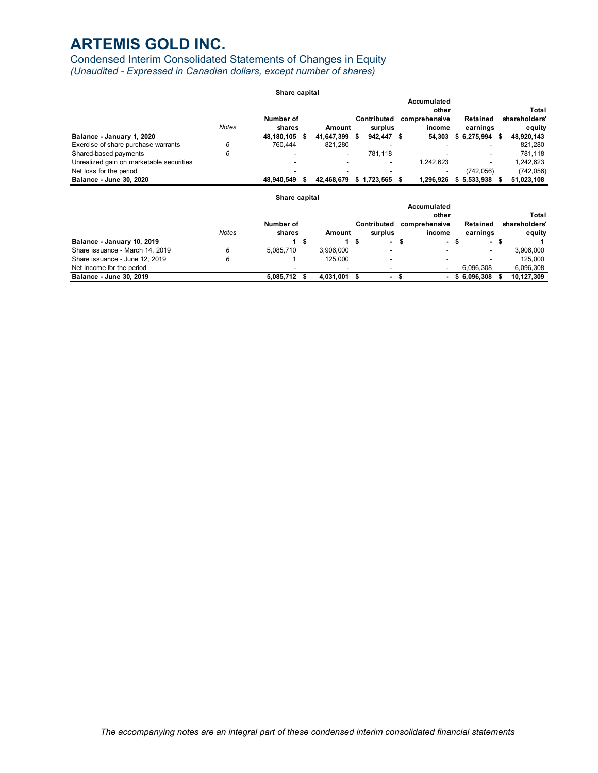# Condensed Interim Consolidated Statements of Changes in Equity

*(Unaudited - Expressed in Canadian dollars, except number of shares)*

|                                          |              | Share capital       |            |                        |                                                 |                          |   |                                  |
|------------------------------------------|--------------|---------------------|------------|------------------------|-------------------------------------------------|--------------------------|---|----------------------------------|
|                                          | <b>Notes</b> | Number of<br>shares | Amount     | Contributed<br>surplus | Accumulated<br>other<br>comprehensive<br>income | Retained<br>earnings     |   | Total<br>shareholders'<br>equity |
| Balance - January 1, 2020                |              | 48,180,105 \$       | 41.647.399 | 942.447 \$             | 54.303                                          | \$6,275,994              | S | 48,920,143                       |
| Exercise of share purchase warrants      | 6            | 760.444             | 821.280    | -                      |                                                 |                          |   | 821.280                          |
| Shared-based payments                    | 6            |                     | -          | 781.118                |                                                 |                          |   | 781.118                          |
| Unrealized gain on marketable securities |              |                     | -          | ۰                      | 1.242.623                                       | $\overline{\phantom{0}}$ |   | 1.242.623                        |
| Net loss for the period                  |              |                     |            |                        |                                                 | (742.056)                |   | (742, 056)                       |
| Balance - June 30, 2020                  |              | 48.940.549          | 42.468.679 | $$1.723.565$ \$        | 1.296.926                                       | 5.533.938                |   | 51,023,108                       |
|                                          |              |                     |            |                        |                                                 |                          |   |                                  |

|                                 |              | Share capital |           |    |                          |                                       |             |                        |
|---------------------------------|--------------|---------------|-----------|----|--------------------------|---------------------------------------|-------------|------------------------|
|                                 |              | Number of     |           |    | Contributed              | Accumulated<br>other<br>comprehensive | Retained    | Total<br>shareholders' |
|                                 | <b>Notes</b> | shares        | Amount    |    | surplus                  | income                                | earnings    | equity                 |
| Balance - January 10, 2019      |              |               |           | зъ | ۰.                       | ٠                                     | ۰.          |                        |
| Share issuance - March 14, 2019 | 6            | 5.085.710     | 3.906.000 |    | $\overline{\phantom{a}}$ |                                       |             | 3,906,000              |
| Share issuance - June 12, 2019  | 6            |               | 125.000   |    | -                        |                                       |             | 125,000                |
| Net income for the period       |              |               |           |    |                          |                                       | 6.096.308   | 6,096,308              |
| Balance - June 30, 2019         |              | 5.085.712     | 4.031.001 |    |                          | $\overline{\phantom{a}}$              | \$6,096,308 | 10,127,309             |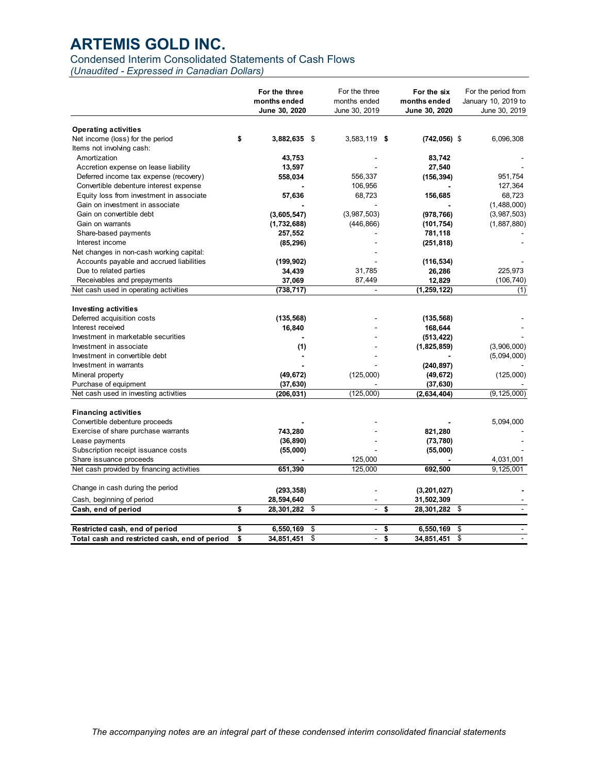# Condensed Interim Consolidated Statements of Cash Flows

*(Unaudited - Expressed in Canadian Dollars)* 

|                                                                                | For the three<br>months ended<br>June 30, 2020 | For the three<br>months ended<br>June 30, 2019 | For the six<br>months ended<br>June 30, 2020 | For the period from<br>January 10, 2019 to<br>June 30, 2019 |
|--------------------------------------------------------------------------------|------------------------------------------------|------------------------------------------------|----------------------------------------------|-------------------------------------------------------------|
| <b>Operating activities</b>                                                    |                                                |                                                |                                              |                                                             |
| Net income (loss) for the period                                               | \$<br>3,882,635                                | - \$<br>3,583,119 \$                           | $(742, 056)$ \$                              | 6,096,308                                                   |
| Items not involving cash:                                                      |                                                |                                                |                                              |                                                             |
| Amortization                                                                   | 43,753                                         |                                                | 83,742                                       |                                                             |
| Accretion expense on lease liability                                           | 13,597                                         |                                                | 27,540                                       |                                                             |
| Deferred income tax expense (recovery)                                         | 558,034                                        | 556,337                                        | (156, 394)                                   | 951,754                                                     |
| Convertible debenture interest expense                                         |                                                | 106,956                                        |                                              | 127,364                                                     |
| Equity loss from investment in associate                                       | 57,636                                         | 68,723                                         | 156,685                                      | 68,723                                                      |
| Gain on investment in associate                                                |                                                |                                                |                                              | (1,488,000)                                                 |
| Gain on convertible debt                                                       | (3,605,547)                                    | (3,987,503)                                    | (978, 766)                                   | (3,987,503)                                                 |
| Gain on warrants                                                               | (1,732,688)                                    | (446, 866)                                     | (101, 754)                                   | (1,887,880)                                                 |
| Share-based payments                                                           | 257,552                                        |                                                | 781,118                                      |                                                             |
| Interest income                                                                | (85, 296)                                      |                                                | (251, 818)                                   |                                                             |
| Net changes in non-cash working capital:                                       |                                                |                                                |                                              |                                                             |
| Accounts payable and accrued liabilities                                       | (199, 902)                                     |                                                | (116, 534)                                   |                                                             |
| Due to related parties                                                         | 34,439                                         | 31,785                                         | 26,286                                       | 225,973                                                     |
| Receivables and prepayments                                                    | 37,069                                         | 87,449                                         | 12,829                                       | (106, 740)                                                  |
| Net cash used in operating activities                                          | (738, 717)                                     |                                                | (1, 259, 122)                                | (1)                                                         |
| <b>Investing activities</b><br>Deferred acquisition costs<br>Interest received | (135, 568)<br>16,840                           |                                                | (135, 568)<br>168,644                        |                                                             |
| Investment in marketable securities                                            |                                                |                                                | (513, 422)                                   |                                                             |
| Investment in associate                                                        | (1)                                            |                                                | (1,825,859)                                  | (3,906,000)                                                 |
| Investment in convertible debt                                                 |                                                |                                                |                                              | (5,094,000)                                                 |
| Investment in warrants                                                         |                                                |                                                | (240, 897)                                   |                                                             |
| Mineral property                                                               | (49, 672)                                      | (125,000)                                      | (49, 672)                                    | (125,000)                                                   |
| Purchase of equipment                                                          | (37, 630)                                      |                                                | (37, 630)                                    |                                                             |
| Net cash used in investing activities                                          | (206, 031)                                     | (125,000)                                      | (2,634,404)                                  | (9, 125, 000)                                               |
| <b>Financing activities</b>                                                    |                                                |                                                |                                              |                                                             |
| Convertible debenture proceeds<br>Exercise of share purchase warrants          |                                                |                                                |                                              | 5,094,000                                                   |
|                                                                                | 743,280                                        |                                                | 821,280                                      |                                                             |
| Lease payments                                                                 | (36, 890)                                      |                                                | (73, 780)                                    |                                                             |
| Subscription receipt issuance costs<br>Share issuance proceeds                 | (55,000)                                       | 125,000                                        | (55,000)                                     | 4,031,001                                                   |
| Net cash provided by financing activities                                      | 651.390                                        | 125.000                                        | 692.500                                      | 9.125.001                                                   |
|                                                                                |                                                |                                                |                                              |                                                             |
| Change in cash during the period                                               | (293, 358)                                     |                                                | (3, 201, 027)                                |                                                             |
| Cash, beginning of period                                                      | 28,594,640                                     |                                                | 31,502,309                                   |                                                             |
| Cash, end of period                                                            | \$<br>28,301,282                               | \$<br>$\overline{\phantom{a}}$                 | \$<br>28,301,282                             | -\$                                                         |
|                                                                                |                                                |                                                |                                              |                                                             |
| Restricted cash, end of period                                                 | \$<br>6,550,169                                | \$<br>$\sim$                                   | 6,550,169<br>\$                              | \$                                                          |
| Total cash and restricted cash, end of period                                  | \$<br>34.851.451                               | \$<br>$\blacksquare$                           | \$<br>34,851,451                             | \$<br>$\sim$                                                |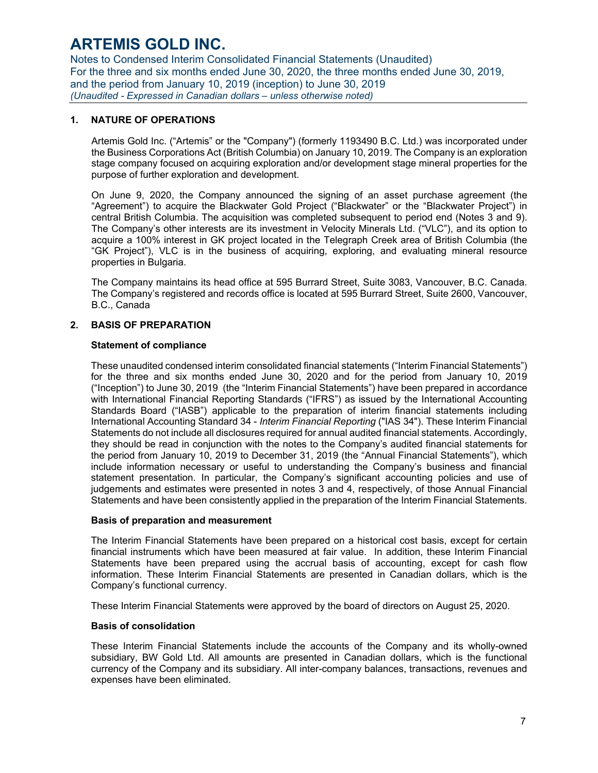Notes to Condensed Interim Consolidated Financial Statements (Unaudited) For the three and six months ended June 30, 2020, the three months ended June 30, 2019, and the period from January 10, 2019 (inception) to June 30, 2019 *(Unaudited - Expressed in Canadian dollars – unless otherwise noted)* 

### **1. NATURE OF OPERATIONS**

Artemis Gold Inc. ("Artemis" or the "Company") (formerly 1193490 B.C. Ltd.) was incorporated under the Business Corporations Act (British Columbia) on January 10, 2019. The Company is an exploration stage company focused on acquiring exploration and/or development stage mineral properties for the purpose of further exploration and development.

On June 9, 2020, the Company announced the signing of an asset purchase agreement (the "Agreement") to acquire the Blackwater Gold Project ("Blackwater" or the "Blackwater Project") in central British Columbia. The acquisition was completed subsequent to period end (Notes 3 and 9). The Company's other interests are its investment in Velocity Minerals Ltd. ("VLC"), and its option to acquire a 100% interest in GK project located in the Telegraph Creek area of British Columbia (the "GK Project"), VLC is in the business of acquiring, exploring, and evaluating mineral resource properties in Bulgaria.

The Company maintains its head office at 595 Burrard Street, Suite 3083, Vancouver, B.C. Canada. The Company's registered and records office is located at 595 Burrard Street, Suite 2600, Vancouver, B.C., Canada

### **2. BASIS OF PREPARATION**

### **Statement of compliance**

These unaudited condensed interim consolidated financial statements ("Interim Financial Statements") for the three and six months ended June 30, 2020 and for the period from January 10, 2019 ("Inception") to June 30, 2019 (the "Interim Financial Statements") have been prepared in accordance with International Financial Reporting Standards ("IFRS") as issued by the International Accounting Standards Board ("IASB") applicable to the preparation of interim financial statements including International Accounting Standard 34 - *Interim Financial Reporting* ("IAS 34"). These Interim Financial Statements do not include all disclosures required for annual audited financial statements. Accordingly, they should be read in conjunction with the notes to the Company's audited financial statements for the period from January 10, 2019 to December 31, 2019 (the "Annual Financial Statements"), which include information necessary or useful to understanding the Company's business and financial statement presentation. In particular, the Company's significant accounting policies and use of judgements and estimates were presented in notes 3 and 4, respectively, of those Annual Financial Statements and have been consistently applied in the preparation of the Interim Financial Statements.

#### **Basis of preparation and measurement**

The Interim Financial Statements have been prepared on a historical cost basis, except for certain financial instruments which have been measured at fair value. In addition, these Interim Financial Statements have been prepared using the accrual basis of accounting, except for cash flow information. These Interim Financial Statements are presented in Canadian dollars, which is the Company's functional currency.

These Interim Financial Statements were approved by the board of directors on August 25, 2020.

#### **Basis of consolidation**

These Interim Financial Statements include the accounts of the Company and its wholly-owned subsidiary, BW Gold Ltd. All amounts are presented in Canadian dollars, which is the functional currency of the Company and its subsidiary. All inter-company balances, transactions, revenues and expenses have been eliminated.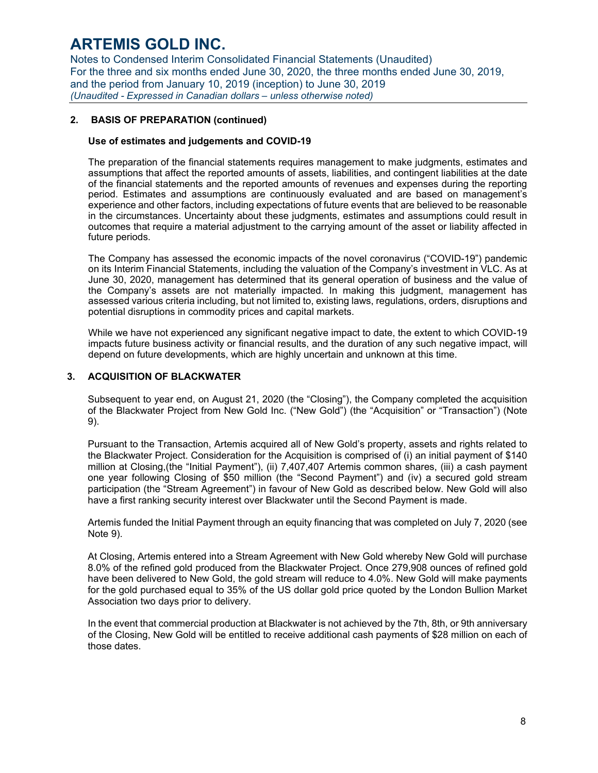Notes to Condensed Interim Consolidated Financial Statements (Unaudited) For the three and six months ended June 30, 2020, the three months ended June 30, 2019, and the period from January 10, 2019 (inception) to June 30, 2019 *(Unaudited - Expressed in Canadian dollars – unless otherwise noted)* 

## **2. BASIS OF PREPARATION (continued)**

#### **Use of estimates and judgements and COVID-19**

The preparation of the financial statements requires management to make judgments, estimates and assumptions that affect the reported amounts of assets, liabilities, and contingent liabilities at the date of the financial statements and the reported amounts of revenues and expenses during the reporting period. Estimates and assumptions are continuously evaluated and are based on management's experience and other factors, including expectations of future events that are believed to be reasonable in the circumstances. Uncertainty about these judgments, estimates and assumptions could result in outcomes that require a material adjustment to the carrying amount of the asset or liability affected in future periods.

The Company has assessed the economic impacts of the novel coronavirus ("COVID-19") pandemic on its Interim Financial Statements, including the valuation of the Company's investment in VLC. As at June 30, 2020, management has determined that its general operation of business and the value of the Company's assets are not materially impacted. In making this judgment, management has assessed various criteria including, but not limited to, existing laws, regulations, orders, disruptions and potential disruptions in commodity prices and capital markets.

While we have not experienced any significant negative impact to date, the extent to which COVID-19 impacts future business activity or financial results, and the duration of any such negative impact, will depend on future developments, which are highly uncertain and unknown at this time.

### **3. ACQUISITION OF BLACKWATER**

Subsequent to year end, on August 21, 2020 (the "Closing"), the Company completed the acquisition of the Blackwater Project from New Gold Inc. ("New Gold") (the "Acquisition" or "Transaction") (Note 9).

Pursuant to the Transaction, Artemis acquired all of New Gold's property, assets and rights related to the Blackwater Project. Consideration for the Acquisition is comprised of (i) an initial payment of \$140 million at Closing,(the "Initial Payment"), (ii) 7,407,407 Artemis common shares, (iii) a cash payment one year following Closing of \$50 million (the "Second Payment") and (iv) a secured gold stream participation (the "Stream Agreement") in favour of New Gold as described below. New Gold will also have a first ranking security interest over Blackwater until the Second Payment is made.

Artemis funded the Initial Payment through an equity financing that was completed on July 7, 2020 (see Note 9).

At Closing, Artemis entered into a Stream Agreement with New Gold whereby New Gold will purchase 8.0% of the refined gold produced from the Blackwater Project. Once 279,908 ounces of refined gold have been delivered to New Gold, the gold stream will reduce to 4.0%. New Gold will make payments for the gold purchased equal to 35% of the US dollar gold price quoted by the London Bullion Market Association two days prior to delivery.

In the event that commercial production at Blackwater is not achieved by the 7th, 8th, or 9th anniversary of the Closing, New Gold will be entitled to receive additional cash payments of \$28 million on each of those dates.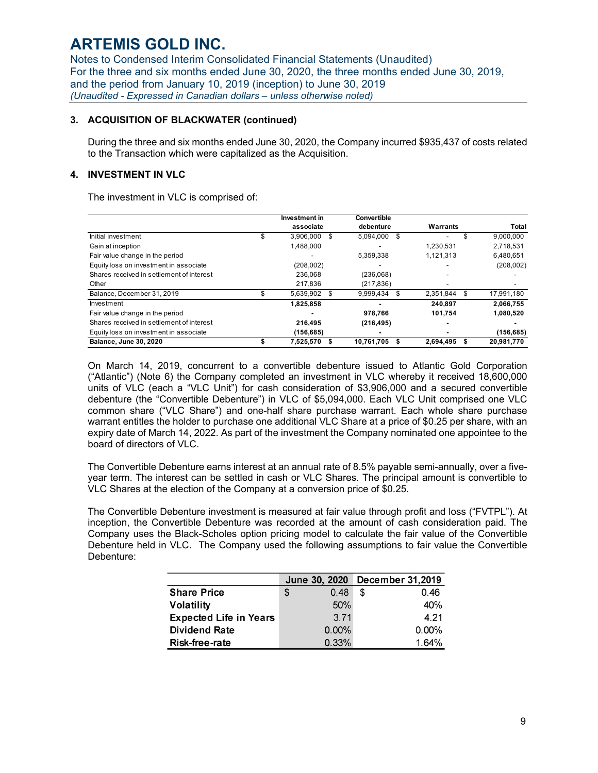Notes to Condensed Interim Consolidated Financial Statements (Unaudited) For the three and six months ended June 30, 2020, the three months ended June 30, 2019, and the period from January 10, 2019 (inception) to June 30, 2019 *(Unaudited - Expressed in Canadian dollars – unless otherwise noted)* 

### **3. ACQUISITION OF BLACKWATER (continued)**

During the three and six months ended June 30, 2020, the Company incurred \$935,437 of costs related to the Transaction which were capitalized as the Acquisition.

# **4. INVESTMENT IN VLC**

The investment in VLC is comprised of:

|                                           | Investment in | Convertible |    |           |    |              |
|-------------------------------------------|---------------|-------------|----|-----------|----|--------------|
|                                           | associate     | debenture   |    | Warrants  |    | <b>Total</b> |
| Initial investment                        | 3.906.000     | 5.094.000   | -S |           | S  | 9,000,000    |
| Gain at inception                         | 1.488.000     |             |    | 1.230.531 |    | 2.718.531    |
| Fair value change in the period           |               | 5,359,338   |    | 1,121,313 |    | 6,480,651    |
| Equity loss on investment in associate    | (208,002)     |             |    |           |    | (208,002)    |
| Shares received in settlement of interest | 236.068       | (236,068)   |    |           |    |              |
| Other                                     | 217.836       | (217, 836)  |    |           |    |              |
| Balance, December 31, 2019                | 5.639.902     | 9.999.434   |    | 2.351.844 | \$ | 17,991,180   |
| Investment                                | 1.825.858     |             |    | 240.897   |    | 2.066.755    |
| Fair value change in the period           |               | 978.766     |    | 101,754   |    | 1,080,520    |
| Shares received in settlement of interest | 216.495       | (216, 495)  |    |           |    |              |
| Equity loss on investment in associate    | (156, 685)    | ۰           |    |           |    | (156, 685)   |
| Balance, June 30, 2020                    | 7,525,570     | 10.761.705  | S  | 2.694.495 | S  | 20.981.770   |

On March 14, 2019, concurrent to a convertible debenture issued to Atlantic Gold Corporation ("Atlantic") (Note 6) the Company completed an investment in VLC whereby it received 18,600,000 units of VLC (each a "VLC Unit") for cash consideration of \$3,906,000 and a secured convertible debenture (the "Convertible Debenture") in VLC of \$5,094,000. Each VLC Unit comprised one VLC common share ("VLC Share") and one-half share purchase warrant. Each whole share purchase warrant entitles the holder to purchase one additional VLC Share at a price of \$0.25 per share, with an expiry date of March 14, 2022. As part of the investment the Company nominated one appointee to the board of directors of VLC.

The Convertible Debenture earns interest at an annual rate of 8.5% payable semi-annually, over a fiveyear term. The interest can be settled in cash or VLC Shares. The principal amount is convertible to VLC Shares at the election of the Company at a conversion price of \$0.25.

The Convertible Debenture investment is measured at fair value through profit and loss ("FVTPL"). At inception, the Convertible Debenture was recorded at the amount of cash consideration paid. The Company uses the Black-Scholes option pricing model to calculate the fair value of the Convertible Debenture held in VLC. The Company used the following assumptions to fair value the Convertible Debenture:

|                               | June 30, 2020 | <b>December 31,2019</b> |
|-------------------------------|---------------|-------------------------|
| <b>Share Price</b>            | 0.48<br>S     | 0.46<br>S               |
| <b>Volatility</b>             | 50%           | 40%                     |
| <b>Expected Life in Years</b> | 3.71          | 4.21                    |
| <b>Dividend Rate</b>          | 0.00%         | $0.00\%$                |
| <b>Risk-free-rate</b>         | 0.33%         | 1.64%                   |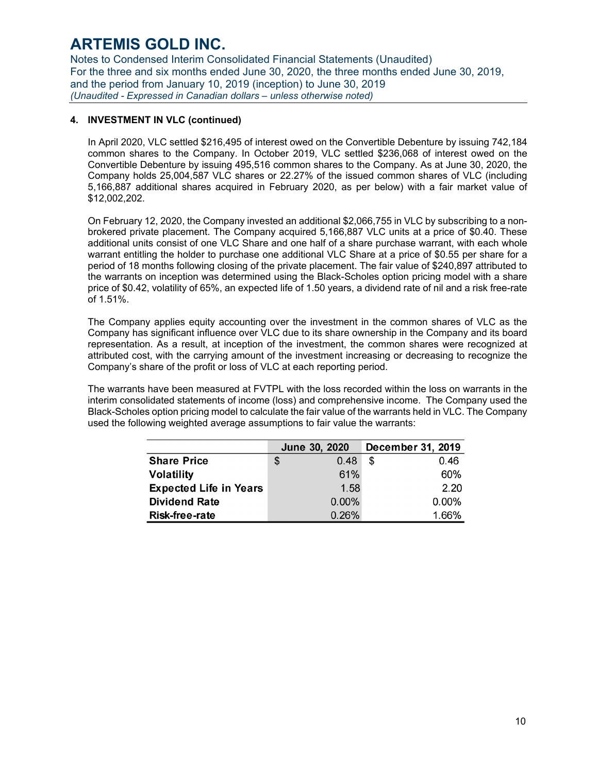Notes to Condensed Interim Consolidated Financial Statements (Unaudited) For the three and six months ended June 30, 2020, the three months ended June 30, 2019, and the period from January 10, 2019 (inception) to June 30, 2019 *(Unaudited - Expressed in Canadian dollars – unless otherwise noted)* 

# **4. INVESTMENT IN VLC (continued)**

In April 2020, VLC settled \$216,495 of interest owed on the Convertible Debenture by issuing 742,184 common shares to the Company. In October 2019, VLC settled \$236,068 of interest owed on the Convertible Debenture by issuing 495,516 common shares to the Company. As at June 30, 2020, the Company holds 25,004,587 VLC shares or 22.27% of the issued common shares of VLC (including 5,166,887 additional shares acquired in February 2020, as per below) with a fair market value of \$12,002,202.

On February 12, 2020, the Company invested an additional \$2,066,755 in VLC by subscribing to a nonbrokered private placement. The Company acquired 5,166,887 VLC units at a price of \$0.40. These additional units consist of one VLC Share and one half of a share purchase warrant, with each whole warrant entitling the holder to purchase one additional VLC Share at a price of \$0.55 per share for a period of 18 months following closing of the private placement. The fair value of \$240,897 attributed to the warrants on inception was determined using the Black-Scholes option pricing model with a share price of \$0.42, volatility of 65%, an expected life of 1.50 years, a dividend rate of nil and a risk free-rate of 1.51%.

The Company applies equity accounting over the investment in the common shares of VLC as the Company has significant influence over VLC due to its share ownership in the Company and its board representation. As a result, at inception of the investment, the common shares were recognized at attributed cost, with the carrying amount of the investment increasing or decreasing to recognize the Company's share of the profit or loss of VLC at each reporting period.

The warrants have been measured at FVTPL with the loss recorded within the loss on warrants in the interim consolidated statements of income (loss) and comprehensive income. The Company used the Black-Scholes option pricing model to calculate the fair value of the warrants held in VLC. The Company used the following weighted average assumptions to fair value the warrants:

|                               | June 30, 2020 | <b>December 31, 2019</b> |
|-------------------------------|---------------|--------------------------|
| <b>Share Price</b>            | 0.48<br>S     | -S<br>0.46               |
| <b>Volatility</b>             | 61%           | 60%                      |
| <b>Expected Life in Years</b> | 1.58          | 2.20                     |
| <b>Dividend Rate</b>          | 0.00%         | 0.00%                    |
| <b>Risk-free-rate</b>         | 0.26%         | 1.66%                    |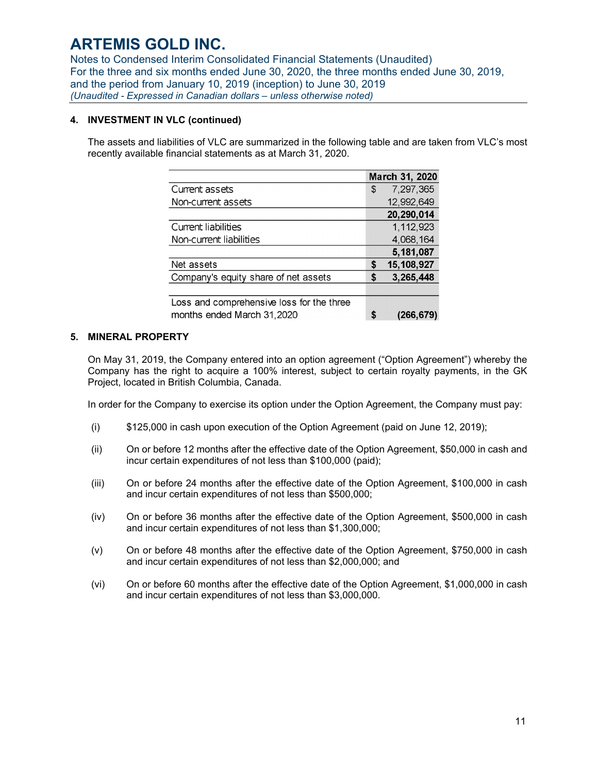Notes to Condensed Interim Consolidated Financial Statements (Unaudited) For the three and six months ended June 30, 2020, the three months ended June 30, 2019, and the period from January 10, 2019 (inception) to June 30, 2019 *(Unaudited - Expressed in Canadian dollars – unless otherwise noted)* 

### **4. INVESTMENT IN VLC (continued)**

The assets and liabilities of VLC are summarized in the following table and are taken from VLC's most recently available financial statements as at March 31, 2020.

|                                           |    | March 31, 2020 |
|-------------------------------------------|----|----------------|
| Current assets                            | \$ | 7,297,365      |
| Non-current assets                        |    | 12,992,649     |
|                                           |    | 20,290,014     |
| Current liabilities                       |    | 1,112,923      |
| Non-current liabilities                   |    | 4,068,164      |
|                                           |    | 5,181,087      |
| Net assets                                | \$ | 15,108,927     |
| Company's equity share of net assets      | S  | 3,265,448      |
|                                           |    |                |
| Loss and comprehensive loss for the three |    |                |
| months ended March 31,2020                | S  | (266,679)      |

### **5. MINERAL PROPERTY**

On May 31, 2019, the Company entered into an option agreement ("Option Agreement") whereby the Company has the right to acquire a 100% interest, subject to certain royalty payments, in the GK Project, located in British Columbia, Canada.

In order for the Company to exercise its option under the Option Agreement, the Company must pay:

- (i) \$125,000 in cash upon execution of the Option Agreement (paid on June 12, 2019);
- (ii) On or before 12 months after the effective date of the Option Agreement, \$50,000 in cash and incur certain expenditures of not less than \$100,000 (paid);
- (iii) On or before 24 months after the effective date of the Option Agreement, \$100,000 in cash and incur certain expenditures of not less than \$500,000;
- (iv) On or before 36 months after the effective date of the Option Agreement, \$500,000 in cash and incur certain expenditures of not less than \$1,300,000;
- (v) On or before 48 months after the effective date of the Option Agreement, \$750,000 in cash and incur certain expenditures of not less than \$2,000,000; and
- (vi) On or before 60 months after the effective date of the Option Agreement, \$1,000,000 in cash and incur certain expenditures of not less than \$3,000,000.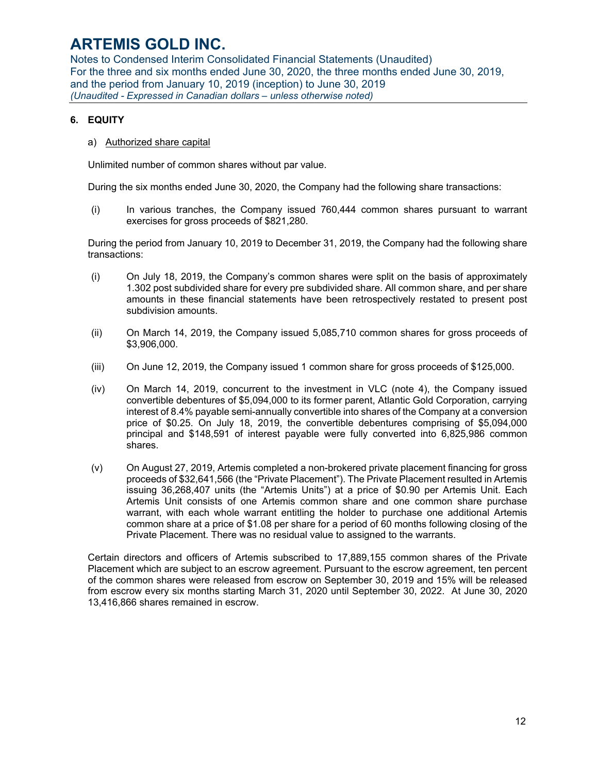Notes to Condensed Interim Consolidated Financial Statements (Unaudited) For the three and six months ended June 30, 2020, the three months ended June 30, 2019, and the period from January 10, 2019 (inception) to June 30, 2019 *(Unaudited - Expressed in Canadian dollars – unless otherwise noted)* 

# **6. EQUITY**

a) Authorized share capital

Unlimited number of common shares without par value.

During the six months ended June 30, 2020, the Company had the following share transactions:

(i) In various tranches, the Company issued 760,444 common shares pursuant to warrant exercises for gross proceeds of \$821,280.

During the period from January 10, 2019 to December 31, 2019, the Company had the following share transactions:

- (i) On July 18, 2019, the Company's common shares were split on the basis of approximately 1.302 post subdivided share for every pre subdivided share. All common share, and per share amounts in these financial statements have been retrospectively restated to present post subdivision amounts.
- (ii) On March 14, 2019, the Company issued 5,085,710 common shares for gross proceeds of \$3,906,000.
- (iii) On June 12, 2019, the Company issued 1 common share for gross proceeds of \$125,000.
- (iv) On March 14, 2019, concurrent to the investment in VLC (note 4), the Company issued convertible debentures of \$5,094,000 to its former parent, Atlantic Gold Corporation, carrying interest of 8.4% payable semi-annually convertible into shares of the Company at a conversion price of \$0.25. On July 18, 2019, the convertible debentures comprising of \$5,094,000 principal and \$148,591 of interest payable were fully converted into 6,825,986 common shares.
- (v) On August 27, 2019, Artemis completed a non-brokered private placement financing for gross proceeds of \$32,641,566 (the "Private Placement"). The Private Placement resulted in Artemis issuing 36,268,407 units (the "Artemis Units") at a price of \$0.90 per Artemis Unit. Each Artemis Unit consists of one Artemis common share and one common share purchase warrant, with each whole warrant entitling the holder to purchase one additional Artemis common share at a price of \$1.08 per share for a period of 60 months following closing of the Private Placement. There was no residual value to assigned to the warrants.

Certain directors and officers of Artemis subscribed to 17,889,155 common shares of the Private Placement which are subject to an escrow agreement. Pursuant to the escrow agreement, ten percent of the common shares were released from escrow on September 30, 2019 and 15% will be released from escrow every six months starting March 31, 2020 until September 30, 2022. At June 30, 2020 13,416,866 shares remained in escrow.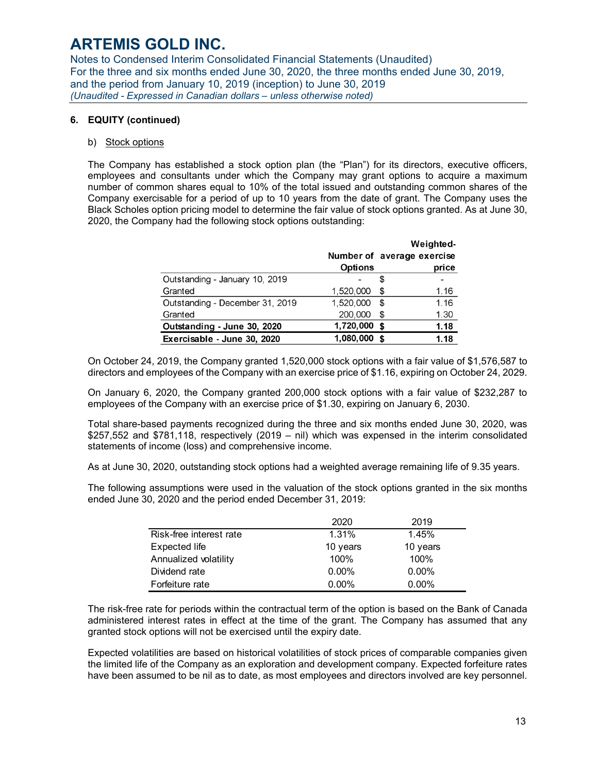Notes to Condensed Interim Consolidated Financial Statements (Unaudited) For the three and six months ended June 30, 2020, the three months ended June 30, 2019, and the period from January 10, 2019 (inception) to June 30, 2019 *(Unaudited - Expressed in Canadian dollars – unless otherwise noted)* 

### **6. EQUITY (continued)**

#### b) Stock options

The Company has established a stock option plan (the "Plan") for its directors, executive officers, employees and consultants under which the Company may grant options to acquire a maximum number of common shares equal to 10% of the total issued and outstanding common shares of the Company exercisable for a period of up to 10 years from the date of grant. The Company uses the Black Scholes option pricing model to determine the fair value of stock options granted. As at June 30, 2020, the Company had the following stock options outstanding:

|                                 |                |     | Weighted-                  |
|---------------------------------|----------------|-----|----------------------------|
|                                 |                |     | Number of average exercise |
|                                 | <b>Options</b> |     | price                      |
| Outstanding - January 10, 2019  |                | S   |                            |
| Granted                         | 1,520,000      | \$. | 1.16                       |
| Outstanding - December 31, 2019 | 1,520,000      | \$  | 1.16                       |
| Granted                         | 200,000        | \$  | 1.30                       |
| Outstanding - June 30, 2020     | 1,720,000      | \$  | 1.18                       |
| Exercisable - June 30, 2020     | 1,080,000      | \$  | 1.18                       |

On October 24, 2019, the Company granted 1,520,000 stock options with a fair value of \$1,576,587 to directors and employees of the Company with an exercise price of \$1.16, expiring on October 24, 2029.

On January 6, 2020, the Company granted 200,000 stock options with a fair value of \$232,287 to employees of the Company with an exercise price of \$1.30, expiring on January 6, 2030.

Total share-based payments recognized during the three and six months ended June 30, 2020, was \$257,552 and \$781,118, respectively (2019 – nil) which was expensed in the interim consolidated statements of income (loss) and comprehensive income.

As at June 30, 2020, outstanding stock options had a weighted average remaining life of 9.35 years.

The following assumptions were used in the valuation of the stock options granted in the six months ended June 30, 2020 and the period ended December 31, 2019:

|                         | 2020     | 2019     |
|-------------------------|----------|----------|
| Risk-free interest rate | 1.31%    | 1.45%    |
| Expected life           | 10 years | 10 years |
| Annualized volatility   | $100\%$  | 100%     |
| Dividend rate           | $0.00\%$ | $0.00\%$ |
| Forfeiture rate         | $0.00\%$ | $0.00\%$ |

The risk-free rate for periods within the contractual term of the option is based on the Bank of Canada administered interest rates in effect at the time of the grant. The Company has assumed that any granted stock options will not be exercised until the expiry date.

Expected volatilities are based on historical volatilities of stock prices of comparable companies given the limited life of the Company as an exploration and development company. Expected forfeiture rates have been assumed to be nil as to date, as most employees and directors involved are key personnel.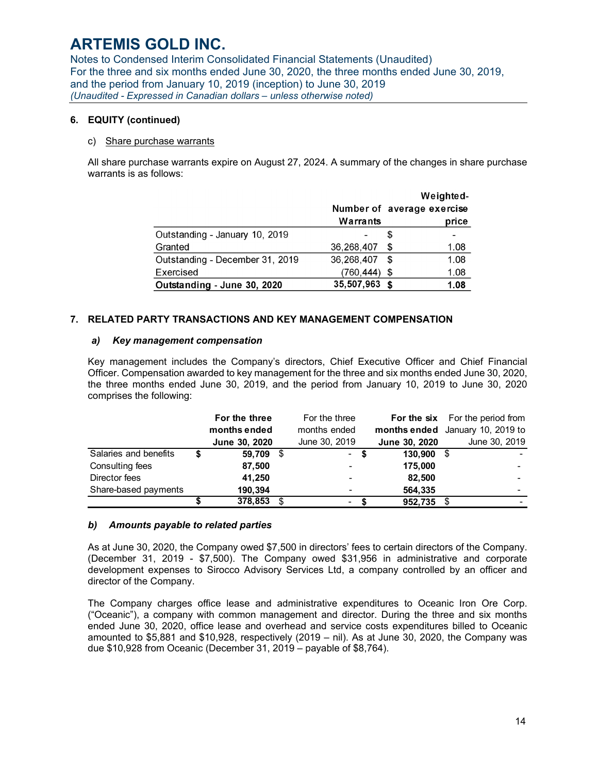Notes to Condensed Interim Consolidated Financial Statements (Unaudited) For the three and six months ended June 30, 2020, the three months ended June 30, 2019, and the period from January 10, 2019 (inception) to June 30, 2019 *(Unaudited - Expressed in Canadian dollars – unless otherwise noted)* 

### **6. EQUITY (continued)**

#### c) Share purchase warrants

All share purchase warrants expire on August 27, 2024. A summary of the changes in share purchase warrants is as follows:

|                                 |                            |     | Weighted- |
|---------------------------------|----------------------------|-----|-----------|
|                                 | Number of average exercise |     |           |
|                                 | Warrants                   |     | price     |
| Outstanding - January 10, 2019  |                            | æ   |           |
| Granted                         | 36,268,407                 | S   | 1.08      |
| Outstanding - December 31, 2019 | 36,268,407                 | S   | 1.08      |
| Exercised                       | (760,444)                  | \$  | 1.08      |
| Outstanding - June 30, 2020     | 35,507,963                 | -\$ | 1.08      |

### **7. RELATED PARTY TRANSACTIONS AND KEY MANAGEMENT COMPENSATION**

### *a) Key management compensation*

Key management includes the Company's directors, Chief Executive Officer and Chief Financial Officer. Compensation awarded to key management for the three and six months ended June 30, 2020, the three months ended June 30, 2019, and the period from January 10, 2019 to June 30, 2020 comprises the following:

|                       |   | For the three<br>months ended | For the three<br>months ended |      |               | <b>For the six</b> For the period from<br>months ended January 10, 2019 to |
|-----------------------|---|-------------------------------|-------------------------------|------|---------------|----------------------------------------------------------------------------|
|                       |   | June 30, 2020                 | June 30, 2019                 |      | June 30, 2020 | June 30, 2019                                                              |
| Salaries and benefits | S | 59,709                        |                               | - \$ | 130,900       |                                                                            |
| Consulting fees       |   | 87,500                        | $\overline{\phantom{0}}$      |      | 175.000       |                                                                            |
| Director fees         |   | 41,250                        | $\overline{\phantom{0}}$      |      | 82,500        |                                                                            |
| Share-based payments  |   | 190,394                       | ٠                             |      | 564,335       |                                                                            |
|                       |   | 378,853                       | $\overline{\phantom{a}}$      |      | 952,735       |                                                                            |

### *b) Amounts payable to related parties*

As at June 30, 2020, the Company owed \$7,500 in directors' fees to certain directors of the Company. (December 31, 2019 - \$7,500). The Company owed \$31,956 in administrative and corporate development expenses to Sirocco Advisory Services Ltd, a company controlled by an officer and director of the Company.

The Company charges office lease and administrative expenditures to Oceanic Iron Ore Corp. ("Oceanic"), a company with common management and director. During the three and six months ended June 30, 2020, office lease and overhead and service costs expenditures billed to Oceanic amounted to \$5,881 and \$10,928, respectively (2019 – nil). As at June 30, 2020, the Company was due \$10,928 from Oceanic (December 31, 2019 – payable of \$8,764).